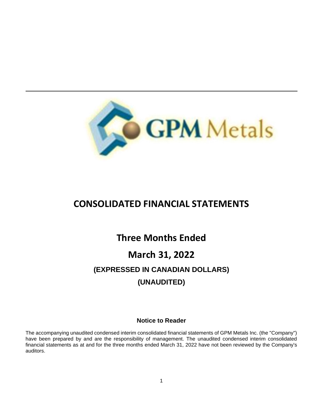

# **CONSOLIDATED FINANCIAL STATEMENTS**

# **Three Months Ended**

# **March 31, 2022 (EXPRESSED IN CANADIAN DOLLARS) (UNAUDITED)**

# **Notice to Reader**

The accompanying unaudited condensed interim consolidated financial statements of GPM Metals Inc. (the "Company") have been prepared by and are the responsibility of management. The unaudited condensed interim consolidated financial statements as at and for the three months ended March 31, 2022 have not been reviewed by the Company's auditors.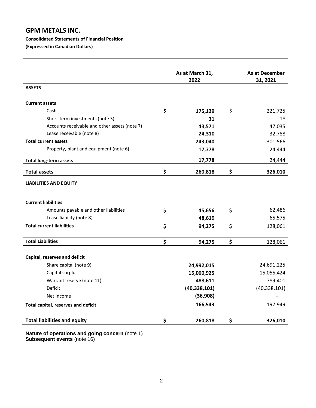# **GPM METALS INC.**

#### **Consolidated Statements of Financial Position**

**(Expressed in Canadian Dollars)**

|                                               | As at March 31,<br>2022 |                | <b>As at December</b><br>31, 2021 |
|-----------------------------------------------|-------------------------|----------------|-----------------------------------|
| <b>ASSETS</b>                                 |                         |                |                                   |
| <b>Current assets</b>                         |                         |                |                                   |
| Cash                                          | \$                      | 175,129        | \$<br>221,725                     |
| Short-term investments (note 5)               |                         | 31             | 18                                |
| Accounts receivable and other assets (note 7) |                         | 43,571         | 47,035                            |
| Lease receivable (note 8)                     |                         | 24,310         | 32,788                            |
| <b>Total current assets</b>                   |                         | 243,040        | 301,566                           |
| Property, plant and equipment (note 6)        |                         | 17,778         | 24,444                            |
| <b>Total long-term assets</b>                 |                         | 17,778         | 24,444                            |
| <b>Total assets</b>                           | \$                      | 260,818        | \$<br>326,010                     |
| <b>LIABILITIES AND EQUITY</b>                 |                         |                |                                   |
| <b>Current liabilities</b>                    |                         |                |                                   |
| Amounts payable and other liabilities         | \$                      | 45,656         | \$<br>62,486                      |
| Lease liability (note 8)                      |                         | 48,619         | 65,575                            |
| <b>Total current liabilities</b>              | \$                      | 94,275         | \$<br>128,061                     |
| <b>Total Liabilities</b>                      | \$                      | 94,275         | \$<br>128,061                     |
| Capital, reserves and deficit                 |                         |                |                                   |
| Share capital (note 9)                        |                         | 24,992,015     | 24,691,225                        |
| Capital surplus                               |                         | 15,060,925     | 15,055,424                        |
| Warrant reserve (note 11)                     |                         | 488,611        | 789,401                           |
| Deficit                                       |                         | (40, 338, 101) | (40, 338, 101)                    |
| Net Income                                    |                         | (36,908)       |                                   |
| Total capital, reserves and deficit           |                         | 166,543        | 197,949                           |
| <b>Total liabilities and equity</b>           | \$                      | 260,818        | \$<br>326,010                     |
|                                               |                         |                |                                   |

**Nature of operations and going concern** (note 1) **Subsequent events** (note 16)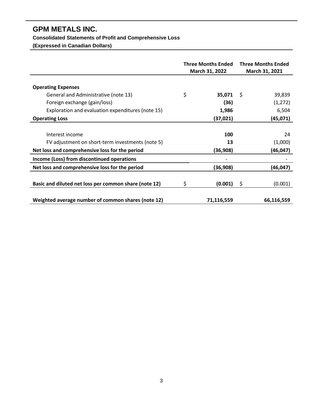# **GPM METALS INC.**

# **Consolidated Statements of Profit and Comprehensive Loss**

**(Expressed in Canadian Dollars)**

|                                                       | <b>Three Months Ended</b><br>March 31, 2022 |            | <b>Three Months Ended</b><br>March 31, 2021 |            |  |
|-------------------------------------------------------|---------------------------------------------|------------|---------------------------------------------|------------|--|
|                                                       |                                             |            |                                             |            |  |
| <b>Operating Expenses</b>                             |                                             |            |                                             |            |  |
| General and Administrative (note 13)                  | \$                                          | 35,071     | \$                                          | 39,839     |  |
| Foreign exchange (gain/loss)                          |                                             | (36)       |                                             | (1, 272)   |  |
| Exploration and evaluation expenditures (note 15)     |                                             | 1,986      |                                             | 6,504      |  |
| <b>Operating Loss</b>                                 |                                             | (37,021)   |                                             | (45,071)   |  |
|                                                       |                                             |            |                                             |            |  |
| Interest income                                       |                                             | 100        |                                             | 24         |  |
| FV adjustment on short-term investments (note 5)      |                                             | 13         |                                             | (1,000)    |  |
| Net loss and comprehensive loss for the period        |                                             | (36,908)   |                                             | (46, 047)  |  |
| Income (Loss) from discontinued operations            |                                             |            |                                             |            |  |
| Net loss and comprehensive loss for the period        |                                             | (36, 908)  |                                             | (46, 047)  |  |
|                                                       |                                             |            |                                             |            |  |
| Basic and diluted net loss per common share (note 12) | \$                                          | (0.001)    | \$                                          | (0.001)    |  |
|                                                       |                                             |            |                                             |            |  |
| Weighted average number of common shares (note 12)    |                                             | 71,116,559 |                                             | 66,116,559 |  |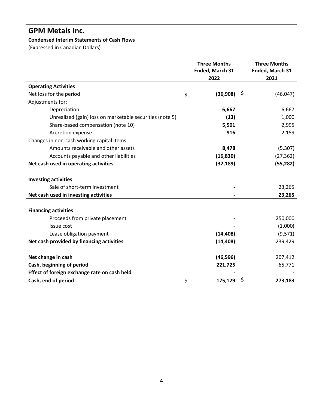# **GPM Metals Inc.**

# **Condensed Interim Statements of Cash Flows**

(Expressed in Canadian Dollars)

|                                                          | <b>Three Months</b><br>Ended, March 31<br>2022 |    | <b>Three Months</b><br>Ended, March 31<br>2021 |
|----------------------------------------------------------|------------------------------------------------|----|------------------------------------------------|
| <b>Operating Activities</b>                              |                                                |    |                                                |
| Net loss for the period                                  | \$<br>(36,908)                                 | Ş  | (46, 047)                                      |
| Adjustments for:                                         |                                                |    |                                                |
| Depreciation                                             | 6,667                                          |    | 6,667                                          |
| Unrealized (gain) loss on marketable securities (note 5) | (13)                                           |    | 1,000                                          |
| Share-based compensation (note 10)                       | 5,501                                          |    | 2,995                                          |
| Accretion expense                                        | 916                                            |    | 2,159                                          |
| Changes in non-cash working capital items:               |                                                |    |                                                |
| Amounts receivable and other assets                      | 8,478                                          |    | (5,307)                                        |
| Accounts payable and other liabilities                   | (16, 830)                                      |    | (27, 362)                                      |
| Net cash used in operating activities                    | (32, 189)                                      |    | (55, 282)                                      |
| <b>Investing activities</b>                              |                                                |    |                                                |
| Sale of short-term investment                            |                                                |    | 23,265                                         |
| Net cash used in investing activities                    |                                                |    | 23,265                                         |
| <b>Financing activities</b>                              |                                                |    |                                                |
| Proceeds from private placement                          |                                                |    | 250,000                                        |
| Issue cost                                               |                                                |    | (1,000)                                        |
| Lease obligation payment                                 | (14, 408)                                      |    | (9, 571)                                       |
| Net cash provided by financing activities                | (14, 408)                                      |    | 239,429                                        |
|                                                          |                                                |    |                                                |
| Net change in cash                                       | (46, 596)                                      |    | 207,412                                        |
| Cash, beginning of period                                | 221,725                                        |    | 65,771                                         |
| Effect of foreign exchange rate on cash held             |                                                |    |                                                |
| Cash, end of period                                      | \$<br>175,129                                  | \$ | 273,183                                        |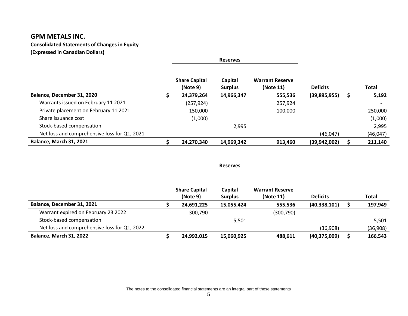# **GPM METALS INC.**

**Consolidated Statements of Changes in Equity**

**(Expressed in Canadian Dollars)**

|                                              |                                  | <b>Reserves</b>           |                                     |                 |   |              |
|----------------------------------------------|----------------------------------|---------------------------|-------------------------------------|-----------------|---|--------------|
|                                              | <b>Share Capital</b><br>(Note 9) | Capital<br><b>Surplus</b> | <b>Warrant Reserve</b><br>(Note 11) | <b>Deficits</b> |   | <b>Total</b> |
| Balance, December 31, 2020                   | 24,379,264                       | 14,966,347                | 555,536                             | (39,895,955)    | S | 5,192        |
| Warrants issued on February 11 2021          | (257, 924)                       |                           | 257,924                             |                 |   |              |
| Private placement on February 11 2021        | 150,000                          |                           | 100,000                             |                 |   | 250,000      |
| Share issuance cost                          | (1,000)                          |                           |                                     |                 |   | (1,000)      |
| Stock-based compensation                     |                                  | 2,995                     |                                     |                 |   | 2,995        |
| Net loss and comprehensive loss for Q1, 2021 |                                  |                           |                                     | (46, 047)       |   | (46, 047)    |
| <b>Balance, March 31, 2021</b>               | 24,270,340                       | 14,969,342                | 913,460                             | (39, 942, 002)  |   | 211,140      |

#### **Reserves**

|                                              | <b>Share Capital</b><br>(Note 9) | Capital<br><b>Surplus</b> | <b>Warrant Reserve</b><br>(Note 11) | <b>Deficits</b> | <b>Total</b> |
|----------------------------------------------|----------------------------------|---------------------------|-------------------------------------|-----------------|--------------|
| Balance, December 31, 2021                   | 24,691,225                       | 15,055,424                | 555,536                             | (40, 338, 101)  | 197,949      |
| Warrant expired on February 23 2022          | 300,790                          |                           | (300, 790)                          |                 |              |
| Stock-based compensation                     |                                  | 5,501                     |                                     |                 | 5,501        |
| Net loss and comprehensive loss for Q1, 2022 |                                  |                           |                                     | (36,908)        | (36,908)     |
| <b>Balance, March 31, 2022</b>               | 24,992,015                       | 15,060,925                | 488,611                             | (40, 375, 009)  | 166,543      |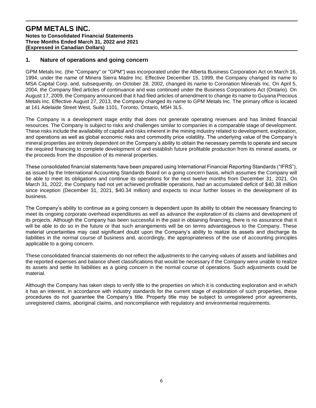#### **1. Nature of operations and going concern**

GPM Metals Inc. (the "Company" or "GPM") was incorporated under the Alberta Business Corporation Act on March 16, 1994, under the name of Minera Sierra Madre Inc. Effective December 15, 1999, the Company changed its name to MSA Capital Corp. and, subsequently, on October 28, 2002, changed its name to Coronation Minerals Inc. On April 5, 2004, the Company filed articles of continuance and was continued under the Business Corporations Act (Ontario). On August 17, 2009, the Company announced that it had filed articles of amendment to change its name to Guyana Precious Metals Inc. Effective August 27, 2013, the Company changed its name to GPM Metals Inc. The primary office is located at 141 Adelaide Street West, Suite 1101, Toronto, Ontario, M5H 3L5.

The Company is a development stage entity that does not generate operating revenues and has limited financial resources. The Company is subject to risks and challenges similar to companies in a comparable stage of development. These risks include the availability of capital and risks inherent in the mining industry related to development, exploration, and operations as well as global economic risks and commodity price volatility. The underlying value of the Company's mineral properties are entirely dependent on the Company's ability to obtain the necessary permits to operate and secure the required financing to complete development of and establish future profitable production from its mineral assets, or the proceeds from the disposition of its mineral properties.

These consolidated financial statements have been prepared using International Financial Reporting Standards ("IFRS"), as issued by the International Accounting Standards Board on a going concern basis, which assumes the Company will be able to meet its obligations and continue its operations for the next twelve months from December 31, 2021. On March 31, 2022, the Company had not yet achieved profitable operations, had an accumulated deficit of \$40.38 million since inception (December 31, 2021, \$40.34 million) and expects to incur further losses in the development of its business.

The Company's ability to continue as a going concern is dependent upon its ability to obtain the necessary financing to meet its ongoing corporate overhead expenditures as well as advance the exploration of its claims and development of its projects. Although the Company has been successful in the past in obtaining financing, there is no assurance that it will be able to do so in the future or that such arrangements will be on terms advantageous to the Company. These material uncertainties may cast significant doubt upon the Company's ability to realize its assets and discharge its liabilities in the normal course of business and, accordingly, the appropriateness of the use of accounting principles applicable to a going concern.

These consolidated financial statements do not reflect the adjustments to the carrying values of assets and liabilities and the reported expenses and balance sheet classifications that would be necessary if the Company were unable to realize its assets and settle its liabilities as a going concern in the normal course of operations. Such adjustments could be material.

Although the Company has taken steps to verify title to the properties on which it is conducting exploration and in which it has an interest, in accordance with industry standards for the current stage of exploration of such properties, these procedures do not guarantee the Company's title. Property title may be subject to unregistered prior agreements, unregistered claims, aboriginal claims, and noncompliance with regulatory and environmental requirements.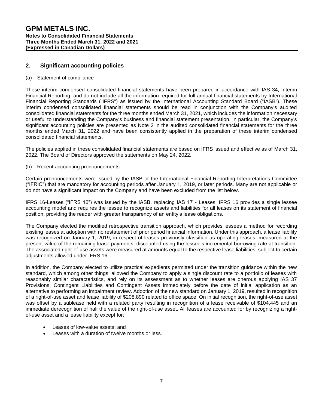# **2. Significant accounting policies**

#### (a) Statement of compliance

These interim condensed consolidated financial statements have been prepared in accordance with IAS 34, Interim Financial Reporting, and do not include all the information required for full annual financial statements by International Financial Reporting Standards ("IFRS") as issued by the International Accounting Standard Board ("IASB"). These interim condensed consolidated financial statements should be read in conjunction with the Company's audited consolidated financial statements for the three months ended March 31, 2021, which includes the information necessary or useful to understanding the Company's business and financial statement presentation. In particular, the Company's significant accounting policies are presented as Note 2 in the audited consolidated financial statements for the three months ended March 31, 2022 and have been consistently applied in the preparation of these interim condensed consolidated financial statements.

The policies applied in these consolidated financial statements are based on IFRS issued and effective as of March 31, 2022. The Board of Directors approved the statements on May 24, 2022.

(b) Recent accounting pronouncements

Certain pronouncements were issued by the IASB or the International Financial Reporting Interpretations Committee ("IFRIC") that are mandatory for accounting periods after January 1, 2019, or later periods. Many are not applicable or do not have a significant impact on the Company and have been excluded from the list below.

IFRS 16-Leases ("IFRS 16") was issued by the IASB, replacing IAS 17 - Leases. IFRS 16 provides a single lessee accounting model and requires the lessee to recognize assets and liabilities for all leases on its statement of financial position, providing the reader with greater transparency of an entity's lease obligations.

The Company elected the modified retrospective transition approach, which provides lessees a method for recording existing leases at adoption with no restatement of prior period financial information. Under this approach, a lease liability was recognized on January 1, 2019, in respect of leases previously classified as operating leases, measured at the present value of the remaining lease payments, discounted using the lessee's incremental borrowing rate at transition. The associated right-of-use assets were measured at amounts equal to the respective lease liabilities, subject to certain adjustments allowed under IFRS 16.

In addition, the Company elected to utilize practical expedients permitted under the transition guidance within the new standard, which among other things, allowed the Company to apply a single discount rate to a portfolio of leases with reasonably similar characteristics, and rely on its assessment as to whether leases are onerous applying IAS 37 Provisions, Contingent Liabilities and Contingent Assets immediately before the date of initial application as an alternative to performing an impairment review. Adoption of the new standard on January 1, 2019, resulted in recognition of a right-of-use asset and lease liability of \$208,890 related to office space. On initial recognition, the right-of-use asset was offset by a sublease held with a related party resulting in recognition of a lease receivable of \$104,445 and an immediate derecognition of half the value of the right-of-use asset. All leases are accounted for by recognizing a rightof-use asset and a lease liability except for:

- Leases of low-value assets; and
- Leases with a duration of twelve months or less.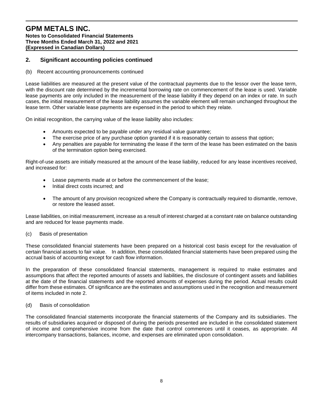# **2. Significant accounting policies continued**

#### (b) Recent accounting pronouncements continued

Lease liabilities are measured at the present value of the contractual payments due to the lessor over the lease term, with the discount rate determined by the incremental borrowing rate on commencement of the lease is used. Variable lease payments are only included in the measurement of the lease liability if they depend on an index or rate. In such cases, the initial measurement of the lease liability assumes the variable element will remain unchanged throughout the lease term. Other variable lease payments are expensed in the period to which they relate.

On initial recognition, the carrying value of the lease liability also includes:

- Amounts expected to be payable under any residual value guarantee;
- The exercise price of any purchase option granted if it is reasonably certain to assess that option;
- Any penalties are payable for terminating the lease if the term of the lease has been estimated on the basis of the termination option being exercised.

Right-of-use assets are initially measured at the amount of the lease liability, reduced for any lease incentives received, and increased for:

- Lease payments made at or before the commencement of the lease;
- Initial direct costs incurred; and
- The amount of any provision recognized where the Company is contractually required to dismantle, remove, or restore the leased asset.

Lease liabilities, on initial measurement, increase as a result of interest charged at a constant rate on balance outstanding and are reduced for lease payments made.

#### (c) Basis of presentation

These consolidated financial statements have been prepared on a historical cost basis except for the revaluation of certain financial assets to fair value. In addition, these consolidated financial statements have been prepared using the accrual basis of accounting except for cash flow information.

In the preparation of these consolidated financial statements, management is required to make estimates and assumptions that affect the reported amounts of assets and liabilities, the disclosure of contingent assets and liabilities at the date of the financial statements and the reported amounts of expenses during the period. Actual results could differ from these estimates. Of significance are the estimates and assumptions used in the recognition and measurement of items included in note 2.

#### (d) Basis of consolidation

The consolidated financial statements incorporate the financial statements of the Company and its subsidiaries. The results of subsidiaries acquired or disposed of during the periods presented are included in the consolidated statement of income and comprehensive income from the date that control commences until it ceases, as appropriate. All intercompany transactions, balances, income, and expenses are eliminated upon consolidation.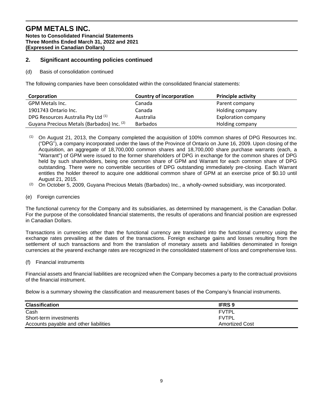# **2. Significant accounting policies continued**

(d) Basis of consolidation continued

The following companies have been consolidated within the consolidated financial statements:

| Corporation                                | <b>Country of incorporation</b> | <b>Principle activity</b>  |
|--------------------------------------------|---------------------------------|----------------------------|
| GPM Metals Inc.                            | Canada                          | Parent company             |
| 1901743 Ontario Inc.                       | Canada                          | Holding company            |
| DPG Resources Australia Pty Ltd (1)        | Australia                       | <b>Exploration company</b> |
| Guyana Precious Metals (Barbados) Inc. (2) | <b>Barbados</b>                 | Holding company            |

 $(1)$  On August 21, 2013, the Company completed the acquisition of 100% common shares of DPG Resources Inc. ("DPG"), a company incorporated under the laws of the Province of Ontario on June 16, 2009. Upon closing of the Acquisition, an aggregate of 18,700,000 common shares and 18,700,000 share purchase warrants (each, a "Warrant") of GPM were issued to the former shareholders of DPG in exchange for the common shares of DPG held by such shareholders, being one common share of GPM and Warrant for each common share of DPG outstanding. There were no convertible securities of DPG outstanding immediately pre-closing. Each Warrant entitles the holder thereof to acquire one additional common share of GPM at an exercise price of \$0.10 until August 21, 2015.

- $(2)$  On October 5, 2009, Guyana Precious Metals (Barbados) Inc., a wholly-owned subsidiary, was incorporated.
- (e) Foreign currencies

The functional currency for the Company and its subsidiaries, as determined by management, is the Canadian Dollar. For the purpose of the consolidated financial statements, the results of operations and financial position are expressed in Canadian Dollars.

Transactions in currencies other than the functional currency are translated into the functional currency using the exchange rates prevailing at the dates of the transactions. Foreign exchange gains and losses resulting from the settlement of such transactions and from the translation of monetary assets and liabilities denominated in foreign currencies at the yearend exchange rates are recognized in the consolidated statement of loss and comprehensive loss.

(f) Financial instruments

Financial assets and financial liabilities are recognized when the Company becomes a party to the contractual provisions of the financial instrument.

Below is a summary showing the classification and measurement bases of the Company's financial instruments.

| <b>Classification</b>                  | <b>IFRS 9</b>  |
|----------------------------------------|----------------|
| Cash                                   | <b>FVTPL</b>   |
| Short-term investments                 | <b>FVTPL</b>   |
| Accounts payable and other liabilities | Amortized Cost |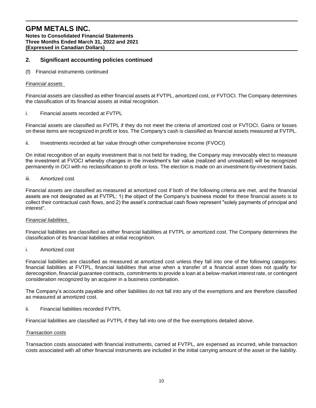# **2. Significant accounting policies continued**

(f) Financial instruments continued

#### *Financial assets*

Financial assets are classified as either financial assets at FVTPL, amortized cost, or FVTOCI. The Company determines the classification of its financial assets at initial recognition.

i. Financial assets recorded at FVTPL

Financial assets are classified as FVTPL if they do not meet the criteria of amortized cost or FVTOCI. Gains or losses on these items are recognized in profit or loss. The Company's cash is classified as financial assets measured at FVTPL.

ii. Investments recorded at fair value through other comprehensive income (FVOCI)

On initial recognition of an equity investment that is not held for trading, the Company may irrevocably elect to measure the investment at FVOCI whereby changes in the investment's fair value (realized and unrealized) will be recognized permanently in OCI with no reclassification to profit or loss. The election is made on an investment-by-investment basis.

#### iii. Amortized cost

Financial assets are classified as measured at amortized cost if both of the following criteria are met, and the financial assets are not designated as at FVTPL: 1) the object of the Company's business model for these financial assets is to collect their contractual cash flows, and 2) the asset's contractual cash flows represent "solely payments of principal and interest".

#### *Financial liabilities*

Financial liabilities are classified as either financial liabilities at FVTPL or amortized cost. The Company determines the classification of its financial liabilities at initial recognition.

i. Amortized cost

Financial liabilities are classified as measured at amortized cost unless they fall into one of the following categories: financial liabilities at FVTPL, financial liabilities that arise when a transfer of a financial asset does not qualify for derecognition, financial guarantee contracts, commitments to provide a loan at a below-market interest rate, or contingent consideration recognized by an acquirer in a business combination.

The Company's accounts payable and other liabilities do not fall into any of the exemptions and are therefore classified as measured at amortized cost.

ii. Financial liabilities recorded FVTPL

Financial liabilities are classified as FVTPL if they fall into one of the five exemptions detailed above.

#### *Transaction costs*

Transaction costs associated with financial instruments, carried at FVTPL, are expensed as incurred, while transaction costs associated with all other financial instruments are included in the initial carrying amount of the asset or the liability.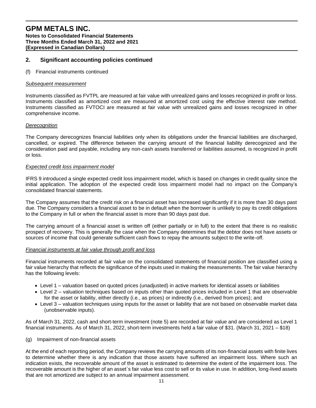#### **2. Significant accounting policies continued**

(f) Financial instruments continued

#### *Subsequent measurement*

Instruments classified as FVTPL are measured at fair value with unrealized gains and losses recognized in profit or loss. Instruments classified as amortized cost are measured at amortized cost using the effective interest rate method. Instruments classified as FVTOCI are measured at fair value with unrealized gains and losses recognized in other comprehensive income.

#### *Derecognition*

The Company derecognizes financial liabilities only when its obligations under the financial liabilities are discharged, cancelled, or expired. The difference between the carrying amount of the financial liability derecognized and the consideration paid and payable, including any non-cash assets transferred or liabilities assumed, is recognized in profit or loss.

#### *Expected credit loss impairment model*

IFRS 9 introduced a single expected credit loss impairment model, which is based on changes in credit quality since the initial application. The adoption of the expected credit loss impairment model had no impact on the Company's consolidated financial statements.

The Company assumes that the credit risk on a financial asset has increased significantly if it is more than 30 days past due. The Company considers a financial asset to be in default when the borrower is unlikely to pay its credit obligations to the Company in full or when the financial asset is more than 90 days past due.

The carrying amount of a financial asset is written off (either partially or in full) to the extent that there is no realistic prospect of recovery. This is generally the case when the Company determines that the debtor does not have assets or sources of income that could generate sufficient cash flows to repay the amounts subject to the write-off.

#### *Financial instruments at fair value through profit and loss*

Financial instruments recorded at fair value on the consolidated statements of financial position are classified using a fair value hierarchy that reflects the significance of the inputs used in making the measurements. The fair value hierarchy has the following levels:

- Level 1 valuation based on quoted prices (unadjusted) in active markets for identical assets or liabilities
- Level 2 valuation techniques based on inputs other than quoted prices included in Level 1 that are observable for the asset or liability, either directly (i.e., as prices) or indirectly (i.e., derived from prices); and
- Level 3 valuation techniques using inputs for the asset or liability that are not based on observable market data (unobservable inputs).

As of March 31, 2022, cash and short-term investment (note 5) are recorded at fair value and are considered as Level 1 financial instruments. As of March 31, 2022, short-term investments held a fair value of \$31. (March 31, 2021 – \$18)

(g) Impairment of non-financial assets

At the end of each reporting period, the Company reviews the carrying amounts of its non-financial assets with finite lives to determine whether there is any indication that those assets have suffered an impairment loss. Where such an indication exists, the recoverable amount of the asset is estimated to determine the extent of the impairment loss. The recoverable amount is the higher of an asset`s fair value less cost to sell or its value in use. In addition, long-lived assets that are not amortized are subject to an annual impairment assessment.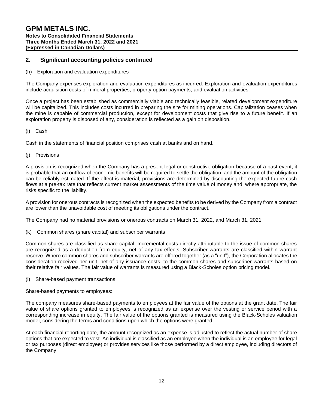# **2. Significant accounting policies continued**

(h) Exploration and evaluation expenditures

The Company expenses exploration and evaluation expenditures as incurred. Exploration and evaluation expenditures include acquisition costs of mineral properties, property option payments, and evaluation activities.

Once a project has been established as commercially viable and technically feasible, related development expenditure will be capitalized. This includes costs incurred in preparing the site for mining operations. Capitalization ceases when the mine is capable of commercial production, except for development costs that give rise to a future benefit. If an exploration property is disposed of any, consideration is reflected as a gain on disposition.

#### (i) Cash

Cash in the statements of financial position comprises cash at banks and on hand.

(j) Provisions

A provision is recognized when the Company has a present legal or constructive obligation because of a past event; it is probable that an outflow of economic benefits will be required to settle the obligation, and the amount of the obligation can be reliably estimated. If the effect is material, provisions are determined by discounting the expected future cash flows at a pre-tax rate that reflects current market assessments of the time value of money and, where appropriate, the risks specific to the liability.

A provision for onerous contracts is recognized when the expected benefits to be derived by the Company from a contract are lower than the unavoidable cost of meeting its obligations under the contract.

The Company had no material provisions or onerous contracts on March 31, 2022, and March 31, 2021.

(k)Common shares (share capital) and subscriber warrants

Common shares are classified as share capital. Incremental costs directly attributable to the issue of common shares are recognized as a deduction from equity, net of any tax effects. Subscriber warrants are classified within warrant reserve. Where common shares and subscriber warrants are offered together (as a "unit"), the Corporation allocates the consideration received per unit, net of any issuance costs, to the common shares and subscriber warrants based on their relative fair values. The fair value of warrants is measured using a Black-Scholes option pricing model.

(l)Share-based payment transactions

Share-based payments to employees:

The company measures share-based payments to employees at the fair value of the options at the grant date. The fair value of share options granted to employees is recognized as an expense over the vesting or service period with a corresponding increase in equity. The fair value of the options granted is measured using the Black-Scholes valuation model, considering the terms and conditions upon which the options were granted.

At each financial reporting date, the amount recognized as an expense is adjusted to reflect the actual number of share options that are expected to vest. An individual is classified as an employee when the individual is an employee for legal or tax purposes (direct employee) or provides services like those performed by a direct employee, including directors of the Company.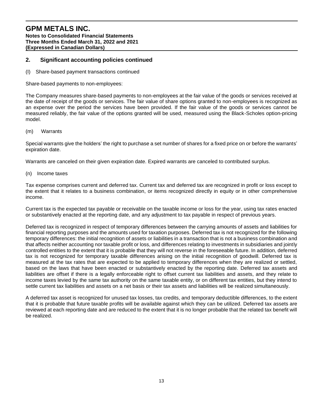# **2. Significant accounting policies continued**

(I)Share-based payment transactions continued

Share-based payments to non-employees:

The Company measures share-based payments to non-employees at the fair value of the goods or services received at the date of receipt of the goods or services. The fair value of share options granted to non-employees is recognized as an expense over the period the services have been provided. If the fair value of the goods or services cannot be measured reliably, the fair value of the options granted will be used, measured using the Black-Scholes option-pricing model.

(m)Warrants

Special warrants give the holders' the right to purchase a set number of shares for a fixed price on or before the warrants' expiration date.

Warrants are canceled on their given expiration date. Expired warrants are canceled to contributed surplus.

(n)Income taxes

Tax expense comprises current and deferred tax. Current tax and deferred tax are recognized in profit or loss except to the extent that it relates to a business combination, or items recognized directly in equity or in other comprehensive income.

Current tax is the expected tax payable or receivable on the taxable income or loss for the year, using tax rates enacted or substantively enacted at the reporting date, and any adjustment to tax payable in respect of previous years.

Deferred tax is recognized in respect of temporary differences between the carrying amounts of assets and liabilities for financial reporting purposes and the amounts used for taxation purposes. Deferred tax is not recognized for the following temporary differences: the initial recognition of assets or liabilities in a transaction that is not a business combination and that affects neither accounting nor taxable profit or loss, and differences relating to investments in subsidiaries and jointly controlled entities to the extent that it is probable that they will not reverse in the foreseeable future. In addition, deferred tax is not recognized for temporary taxable differences arising on the initial recognition of goodwill. Deferred tax is measured at the tax rates that are expected to be applied to temporary differences when they are realized or settled, based on the laws that have been enacted or substantively enacted by the reporting date. Deferred tax assets and liabilities are offset if there is a legally enforceable right to offset current tax liabilities and assets, and they relate to income taxes levied by the same tax authority on the same taxable entity, or on different tax entities, but they intend to settle current tax liabilities and assets on a net basis or their tax assets and liabilities will be realized simultaneously.

A deferred tax asset is recognized for unused tax losses, tax credits, and temporary deductible differences, to the extent that it is probable that future taxable profits will be available against which they can be utilized. Deferred tax assets are reviewed at each reporting date and are reduced to the extent that it is no longer probable that the related tax benefit will be realized.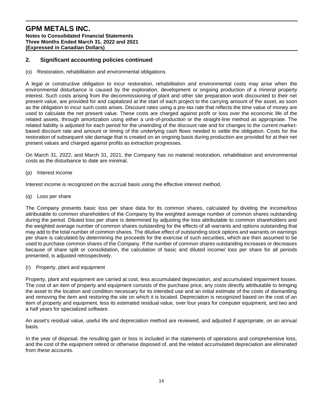# **2. Significant accounting policies continued**

#### (o)Restoration, rehabilitation and environmental obligations

A legal or constructive obligation to incur restoration, rehabilitation and environmental costs may arise when the environmental disturbance is caused by the exploration, development or ongoing production of a mineral property interest. Such costs arising from the decommissioning of plant and other site preparation work discounted to their net present value, are provided for and capitalized at the start of each project to the carrying amount of the asset, as soon as the obligation to incur such costs arises. Discount rates using a pre-tax rate that reflects the time value of money are used to calculate the net present value. These costs are charged against profit or loss over the economic life of the related assets, through amortization using either a unit-of-production or the straight-line method as appropriate. The related liability is adjusted for each period for the unwinding of the discount rate and for changes to the current marketbased discount rate and amount or timing of the underlying cash flows needed to settle the obligation. Costs for the restoration of subsequent site damage that is created on an ongoing basis during production are provided for at their net present values and charged against profits as extraction progresses.

On March 31, 2022, and March 31, 2021, the Company has no material restoration, rehabilitation and environmental costs as the disturbance to date are minimal.

(p)Interest income

Interest income is recognized on the accrual basis using the effective interest method.

(q)Loss per share

The Company presents basic loss per share data for its common shares, calculated by dividing the income/loss attributable to common shareholders of the Company by the weighted average number of common shares outstanding during the period. Diluted loss per share is determined by adjusting the loss attributable to common shareholders and the weighted average number of common shares outstanding for the effects of all warrants and options outstanding that may add to the total number of common shares. The dilutive effect of outstanding stock options and warrants on earnings per share is calculated by determining the proceeds for the exercise of such securities, which are then assumed to be used to purchase common shares of the Company. If the number of common shares outstanding increases or decreases because of share split or consolidation, the calculation of basic and diluted income/ loss per share for all periods presented, is adjusted retrospectively.

(r)Property, plant and equipment

Property, plant and equipment are carried at cost, less accumulated depreciation, and accumulated impairment losses. The cost of an item of property and equipment consists of the purchase price, any costs directly attributable to bringing the asset to the location and condition necessary for its intended use and an initial estimate of the costs of dismantling and removing the item and restoring the site on which it is located. Depreciation is recognized based on the cost of an item of property and equipment, less its estimated residual value, over four years for computer equipment, and two and a half years for specialized software.

An asset's residual value, useful life and depreciation method are reviewed, and adjusted if appropriate, on an annual basis.

In the year of disposal, the resulting gain or loss is included in the statements of operations and comprehensive loss, and the cost of the equipment retired or otherwise disposed of, and the related accumulated depreciation are eliminated from these accounts.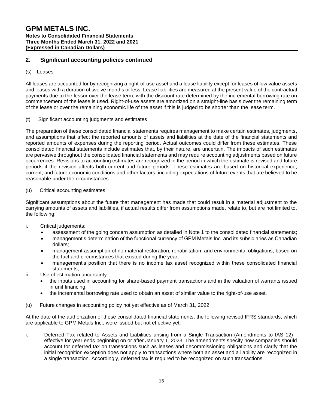# **2. Significant accounting policies continued**

#### (s)Leases

All leases are accounted for by recognizing a right-of-use asset and a lease liability except for leases of low value assets and leases with a duration of twelve months or less. Lease liabilities are measured at the present value of the contractual payments due to the lessor over the lease term, with the discount rate determined by the incremental borrowing rate on commencement of the lease is used. Right-of-use assets are amortized on a straight-line basis over the remaining term of the lease or over the remaining economic life of the asset if this is judged to be shorter than the lease term.

#### (t)Significant accounting judgments and estimates

The preparation of these consolidated financial statements requires management to make certain estimates, judgments, and assumptions that affect the reported amounts of assets and liabilities at the date of the financial statements and reported amounts of expenses during the reporting period. Actual outcomes could differ from these estimates. These consolidated financial statements include estimates that, by their nature, are uncertain. The impacts of such estimates are pervasive throughout the consolidated financial statements and may require accounting adjustments based on future occurrences. Revisions to accounting estimates are recognized in the period in which the estimate is revised and future periods if the revision affects both current and future periods. These estimates are based on historical experience, current, and future economic conditions and other factors, including expectations of future events that are believed to be reasonable under the circumstances.

#### (u)Critical accounting estimates

Significant assumptions about the future that management has made that could result in a material adjustment to the carrying amounts of assets and liabilities, if actual results differ from assumptions made, relate to, but are not limited to, the following:

- i. Critical judgements:
	- assessment of the going concern assumption as detailed in Note 1 to the consolidated financial statements;
	- management's determination of the functional currency of GPM Metals Inc. and its subsidiaries as Canadian dollars;
	- management assumption of no material restoration, rehabilitation, and environmental obligations, based on the fact and circumstances that existed during the year;
	- management's position that there is no income tax asset recognized within these consolidated financial statements;
- ii. Use of estimation uncertainty:
	- the inputs used in accounting for share-based payment transactions and in the valuation of warrants issued in unit financing;
	- the incremental borrowing rate used to obtain an asset of similar value to the right-of-use asset.
- (u) Future changes in accounting policy not yet effective as of March 31, 2022

At the date of the authorization of these consolidated financial statements, the following revised IFRS standards, which are applicable to GPM Metals Inc., were issued but not effective yet.

i. Deferred Tax related to Assets and Liabilities arising from a Single Transaction (Amendments to IAS 12) effective for year ends beginning on or after January 1, 2023. The amendments specify how companies should account for deferred tax on transactions such as leases and decommissioning obligations and clarify that the initial recognition exception does not apply to transactions where both an asset and a liability are recognized in a single transaction. Accordingly, deferred tax is required to be recognized on such transactions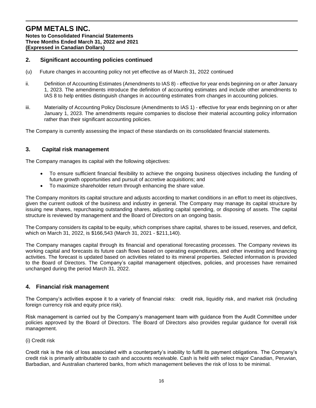# **2. Significant accounting policies continued**

- (u) Future changes in accounting policy not yet effective as of March 31, 2022 continued
- ii. Definition of Accounting Estimates (Amendments to IAS 8) effective for year ends beginning on or after January 1, 2023. The amendments introduce the definition of accounting estimates and include other amendments to IAS 8 to help entities distinguish changes in accounting estimates from changes in accounting policies.
- iii. Materiality of Accounting Policy Disclosure (Amendments to IAS 1) effective for year ends beginning on or after January 1, 2023. The amendments require companies to disclose their material accounting policy information rather than their significant accounting policies.

The Company is currently assessing the impact of these standards on its consolidated financial statements.

#### **3. Capital risk management**

The Company manages its capital with the following objectives:

- To ensure sufficient financial flexibility to achieve the ongoing business objectives including the funding of future growth opportunities and pursuit of accretive acquisitions; and
- To maximize shareholder return through enhancing the share value.

The Company monitors its capital structure and adjusts according to market conditions in an effort to meet its objectives, given the current outlook of the business and industry in general. The Company may manage its capital structure by issuing new shares, repurchasing outstanding shares, adjusting capital spending, or disposing of assets. The capital structure is reviewed by management and the Board of Directors on an ongoing basis.

The Company considers its capital to be equity, which comprises share capital, shares to be issued, reserves, and deficit, which on March 31, 2022, is \$166,543 (March 31, 2021 - \$211,140).

The Company manages capital through its financial and operational forecasting processes. The Company reviews its working capital and forecasts its future cash flows based on operating expenditures, and other investing and financing activities. The forecast is updated based on activities related to its mineral properties. Selected information is provided to the Board of Directors. The Company's capital management objectives, policies, and processes have remained unchanged during the period March 31, 2022.

#### **4. Financial risk management**

The Company's activities expose it to a variety of financial risks: credit risk, liquidity risk, and market risk (including foreign currency risk and equity price risk).

Risk management is carried out by the Company's management team with guidance from the Audit Committee under policies approved by the Board of Directors. The Board of Directors also provides regular guidance for overall risk management.

#### (i) Credit risk

Credit risk is the risk of loss associated with a counterparty's inability to fulfill its payment obligations. The Company's credit risk is primarily attributable to cash and accounts receivable. Cash is held with select major Canadian, Peruvian, Barbadian, and Australian chartered banks, from which management believes the risk of loss to be minimal.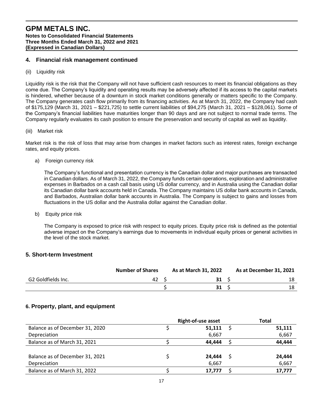#### **4. Financial risk management continued**

(ii) Liquidity risk

Liquidity risk is the risk that the Company will not have sufficient cash resources to meet its financial obligations as they come due. The Company's liquidity and operating results may be adversely affected if its access to the capital markets is hindered, whether because of a downturn in stock market conditions generally or matters specific to the Company. The Company generates cash flow primarily from its financing activities. As at March 31, 2022, the Company had cash of \$175,129 (March 31, 2021 – \$221,725) to settle current liabilities of \$94,275 (March 31, 2021 – \$128,061). Some of the Company's financial liabilities have maturities longer than 90 days and are not subject to normal trade terms. The Company regularly evaluates its cash position to ensure the preservation and security of capital as well as liquidity.

(iii) Market risk

Market risk is the risk of loss that may arise from changes in market factors such as interest rates, foreign exchange rates, and equity prices.

a) Foreign currency risk

The Company's functional and presentation currency is the Canadian dollar and major purchases are transacted in Canadian dollars. As of March 31, 2022, the Company funds certain operations, exploration and administrative expenses in Barbados on a cash call basis using US dollar currency, and in Australia using the Canadian dollar its Canadian dollar bank accounts held in Canada. The Company maintains US dollar bank accounts in Canada, and Barbados, Australian dollar bank accounts in Australia. The Company is subject to gains and losses from fluctuations in the US dollar and the Australia dollar against the Canadian dollar.

b) Equity price risk

The Company is exposed to price risk with respect to equity prices. Equity price risk is defined as the potential adverse impact on the Company's earnings due to movements in individual equity prices or general activities in the level of the stock market.

#### **5. Short-term Investment**

|                    | <b>Number of Shares</b> | As at March 31, 2022 | As at December 31, 2021 |
|--------------------|-------------------------|----------------------|-------------------------|
| G2 Goldfields Inc. | 42                      | 31                   |                         |
|                    |                         | 31                   | 18                      |

# **6. Property, plant, and equipment**

|                                 | <b>Right-of-use asset</b> |    |        |  |  |
|---------------------------------|---------------------------|----|--------|--|--|
| Balance as of December 31, 2020 | 51,111                    |    | 51,111 |  |  |
| Depreciation                    | 6,667                     |    | 6,667  |  |  |
| Balance as of March 31, 2021    | 44.444                    |    | 44,444 |  |  |
|                                 |                           |    |        |  |  |
| Balance as of December 31, 2021 | 24.444                    | -S | 24,444 |  |  |
| Depreciation                    | 6,667                     |    | 6,667  |  |  |
| Balance as of March 31, 2022    | 17.777                    |    | 17,777 |  |  |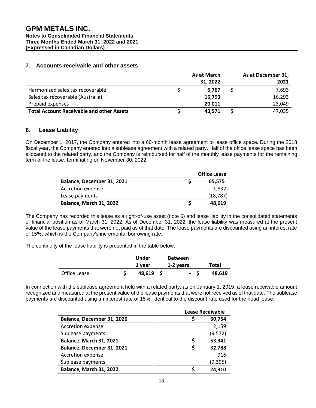# **GPM METALS INC.**

**Notes to Consolidated Financial Statements Three Months Ended March 31, 2022 and 2021 (Expressed in Canadian Dollars)**

# **7. Accounts receivable and other assets**

|                                                  | As at March | As at December 31, |
|--------------------------------------------------|-------------|--------------------|
|                                                  | 31, 2022    | 2021               |
| Harmonized sales tax recoverable                 | 6.767       | 7,693              |
| Sales tax recoverable (Australia)                | 16,793      | 16,293             |
| Prepaid expenses                                 | 20.011      | 23,049             |
| <b>Total Account Receivable and other Assets</b> | 43.571      | 47,035             |

# **8. Lease Liability**

On December 1, 2017, the Company entered into a 60-month lease agreement to lease office space. During the 2018 fiscal year, the Company entered into a sublease agreement with a related party. Half of the office lease space has been allocated to the related party, and the Company is reimbursed for half of the monthly lease payments for the remaining term of the lease, terminating on November 30, 2022.

|                            | <b>Office Lease</b> |
|----------------------------|---------------------|
| Balance, December 31, 2021 | 65.575              |
| Accretion expense          | 1,832               |
| Lease payments             | (18, 787)           |
| Balance, March 31, 2022    | 48,619              |

The Company has recorded this lease as a right-of-use asset (note 6) and lease liability in the consolidated statements of financial position as of March 31, 2022. As of December 31, 2022, the lease liability was measured at the present value of the lease payments that were not paid as of that date. The lease payments are discounted using an interest rate of 15%, which is the Company's incremental borrowing rate.

The continuity of the lease liability is presented in the table below:

|              | Under  | <b>Between</b> |              |
|--------------|--------|----------------|--------------|
|              | 1 year | 1-2 years      | <b>Total</b> |
| Office Lease | 48,619 | - 5            | 48,619       |

In connection with the sublease agreement held with a related party, as on January 1, 2019, a lease receivable amount recognized and measured at the present value of the lease payments that were not received as of that date. The sublease payments are discounted using an interest rate of 15%, identical to the discount rate used for the head lease.

|                            | <b>Lease Receivable</b> |          |
|----------------------------|-------------------------|----------|
| Balance, December 31, 2020 |                         | 60,754   |
| Accretion expense          |                         | 2,159    |
| Sublease payments          |                         | (9, 572) |
| Balance, March 31, 2021    |                         | 53,341   |
| Balance, December 31, 2021 |                         | 32,788   |
| Accretion expense          |                         | 916      |
| Sublease payments          |                         | (9, 395) |
| Balance, March 31, 2022    |                         | 24,310   |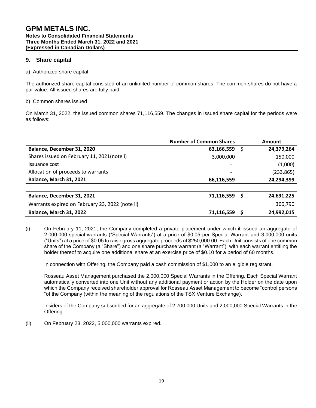# **9. Share capital**

#### a) Authorized share capital

The authorized share capital consisted of an unlimited number of common shares. The common shares do not have a par value. All issued shares are fully paid.

#### b) Common shares issued

On March 31, 2022, the issued common shares 71,116,559. The changes in issued share capital for the periods were as follows:

|                                                 | <b>Number of Common Shares</b> | Amount     |
|-------------------------------------------------|--------------------------------|------------|
| Balance, December 31, 2020                      | 63,166,559<br>S                | 24,379,264 |
| Shares issued on February 11, 2021(note i)      | 3,000,000                      | 150,000    |
| Issuance cost                                   | $\overline{\phantom{a}}$       | (1,000)    |
| Allocation of proceeds to warrants              | $\overline{\phantom{a}}$       | (233, 865) |
| <b>Balance, March 31, 2021</b>                  | 66,116,559                     | 24,294,399 |
|                                                 |                                |            |
| Balance, December 31, 2021                      | 71,116,559                     | 24,691,225 |
| Warrants expired on February 23, 2022 (note ii) |                                | 300,790    |
| Balance, March 31, 2022                         | 71,116,559<br>ς                | 24,992,015 |

(i) On February 11, 2021, the Company completed a private placement under which it issued an aggregate of 2,000,000 special warrants ("Special Warrants") at a price of \$0.05 per Special Warrant and 3,000,000 units ("Units") at a price of \$0.05 to raise gross aggregate proceeds of \$250,000.00. Each Unit consists of one common share of the Company (a "Share") and one share purchase warrant (a "Warrant"), with each warrant entitling the holder thereof to acquire one additional share at an exercise price of \$0.10 for a period of 60 months.

In connection with Offering, the Company paid a cash commission of \$1,000 to an eligible registrant.

Rosseau Asset Management purchased the 2,000,000 Special Warrants in the Offering. Each Special Warrant automatically converted into one Unit without any additional payment or action by the Holder on the date upon which the Company received shareholder approval for Rosseau Asset Management to become "control persons "of the Company (within the meaning of the regulations of the TSX Venture Exchange).

Insiders of the Company subscribed for an aggregate of 2,700,000 Units and 2,000,000 Special Warrants in the Offering.

(ii) On February 23, 2022, 5,000,000 warrants expired.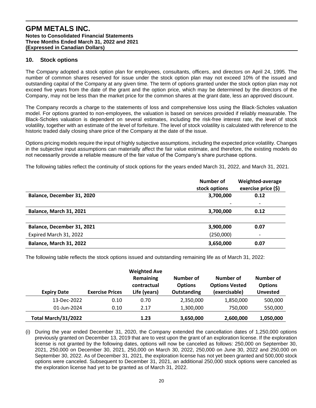# **10. Stock options**

The Company adopted a stock option plan for employees, consultants, officers, and directors on April 24, 1995. The number of common shares reserved for issue under the stock option plan may not exceed 10% of the issued and outstanding capital of the Company at any given time. The term of options granted under the stock option plan may not exceed five years from the date of the grant and the option price, which may be determined by the directors of the Company, may not be less than the market price for the common shares at the grant date, less an approved discount.

The Company records a charge to the statements of loss and comprehensive loss using the Black-Scholes valuation model. For options granted to non-employees, the valuation is based on services provided if reliably measurable. The Black-Scholes valuation is dependent on several estimates, including the risk-free interest rate, the level of stock volatility, together with an estimate of the level of forfeiture. The level of stock volatility is calculated with reference to the historic traded daily closing share price of the Company at the date of the issue.

Options pricing models require the input of highly subjective assumptions, including the expected price volatility. Changes in the subjective input assumptions can materially affect the fair value estimate, and therefore, the existing models do not necessarily provide a reliable measure of the fair value of the Company's share purchase options.

The following tables reflect the continuity of stock options for the years ended March 31, 2022, and March 31, 2021.

|                                | Number of<br>stock options | Weighted-average<br>exercise price (\$) |
|--------------------------------|----------------------------|-----------------------------------------|
| Balance, December 31, 2020     | 3,700,000                  | 0.12                                    |
|                                |                            | $\overline{a}$                          |
| <b>Balance, March 31, 2021</b> | 3,700,000                  | 0.12                                    |
|                                |                            |                                         |
| Balance, December 31, 2021     | 3,900,000                  | 0.07                                    |
| Expired March 31, 2022         | (250,000)                  |                                         |
| <b>Balance, March 31, 2022</b> | 3,650,000                  | 0.07                                    |

The following table reflects the stock options issued and outstanding remaining life as of March 31, 2022:

| <b>Expiry Date</b>  | <b>Exercise Prices</b> | <b>Weighted Ave</b><br>Remaining<br>contractual<br>Life (years) | Number of<br><b>Options</b><br><b>Outstanding</b> | Number of<br><b>Options Vested</b><br>(exercisable) | Number of<br><b>Options</b><br><b>Unvested</b> |
|---------------------|------------------------|-----------------------------------------------------------------|---------------------------------------------------|-----------------------------------------------------|------------------------------------------------|
| 13-Dec-2022         | 0.10                   | 0.70                                                            | 2,350,000                                         | 1,850,000                                           | 500,000                                        |
| 01-Jun-2024         | 0.10                   | 2.17                                                            | 1,300,000                                         | 750,000                                             | 550,000                                        |
| Total March/31/2022 |                        | 1.23                                                            | 3,650,000                                         | 2,600,000                                           | 1,050,000                                      |

(i) During the year ended December 31, 2020, the Company extended the cancellation dates of 1,250,000 options previously granted on December 13, 2019 that are to vest upon the grant of an exploration license. If the exploration license is not granted by the following dates, options will now be canceled as follows: 250,000 on September 30, 2021, 250,000 on December 30, 2021, 250,000 on March 30, 2022, 250,000 on June 30, 2022 and 250,000 on September 30, 2022. As of December 31, 2021, the exploration license has not yet been granted and 500,000 stock options were canceled. Subsequent to December 31, 2021, an additional 250,000 stock options were canceled as the exploration license had yet to be granted as of March 31, 2022.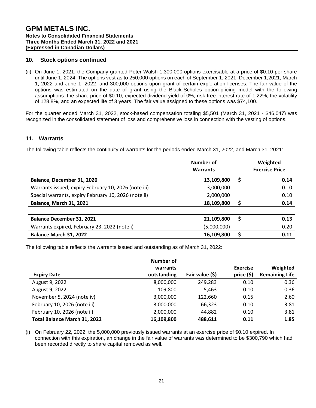# **10. Stock options continued**

(ii) On June 1, 2021, the Company granted Peter Walsh 1,300,000 options exercisable at a price of \$0.10 per share until June 1, 2024. The options vest as to 250,000 options on each of September 1, 2021, December 1,2021, March 1, 2022 and June 1, 2022, and 300,000 options upon grant of certain exploration licenses. The fair value of the options was estimated on the date of grant using the Black-Scholes option-pricing model with the following assumptions: the share price of \$0.10, expected dividend yield of 0%, risk-free interest rate of 1.22%, the volatility of 128.8%, and an expected life of 3 years. The fair value assigned to these options was \$74,100.

For the quarter ended March 31, 2022, stock-based compensation totaling \$5,501 (March 31, 2021 - \$46,047) was recognized in the consolidated statement of loss and comprehensive loss in connection with the vesting of options.

#### **11. Warrants**

The following table reflects the continuity of warrants for the periods ended March 31, 2022, and March 31, 2021:

|                                                      | <b>Number of</b> |   | Weighted              |
|------------------------------------------------------|------------------|---|-----------------------|
|                                                      | <b>Warrants</b>  |   | <b>Exercise Price</b> |
| Balance, December 31, 2020                           | 13,109,800       | S | 0.14                  |
| Warrants issued, expiry February 10, 2026 (note iii) | 3,000,000        |   | 0.10                  |
| Special warrants, expiry February 10, 2026 (note ii) | 2,000,000        |   | 0.10                  |
| <b>Balance, March 31, 2021</b>                       | 18,109,800       |   | 0.14                  |
|                                                      |                  |   |                       |
| <b>Balance December 31, 2021</b>                     | 21,109,800       |   | 0.13                  |
| Warrants expired, February 23, 2022 (note i)         | (5,000,000)      |   | 0.20                  |
| Balance March 31, 2022                               | 16,109,800       |   | 0.11                  |

The following table reflects the warrants issued and outstanding as of March 31, 2022:

|                              | Number of   |                 |                 |                       |
|------------------------------|-------------|-----------------|-----------------|-----------------------|
|                              | warrants    |                 | <b>Exercise</b> | Weighted              |
| <b>Expiry Date</b>           | outstanding | Fair value (\$) | price (\$)      | <b>Remaining Life</b> |
| August 9, 2022               | 8,000,000   | 249,283         | 0.10            | 0.36                  |
| August 9, 2022               | 109,800     | 5,463           | 0.10            | 0.36                  |
| November 5, 2024 (note iv)   | 3,000,000   | 122,660         | 0.15            | 2.60                  |
| February 10, 2026 (note iii) | 3,000,000   | 66,323          | 0.10            | 3.81                  |
| February 10, 2026 (note ii)  | 2,000,000   | 44,882          | 0.10            | 3.81                  |
| Total Balance March 31, 2022 | 16,109,800  | 488,611         | 0.11            | 1.85                  |

(i) On February 22, 2022, the 5,000,000 previously issued warrants at an exercise price of \$0.10 expired. In connection with this expiration, an change in the fair value of warrants was determined to be \$300,790 which had been recorded directly to share capital removed as well.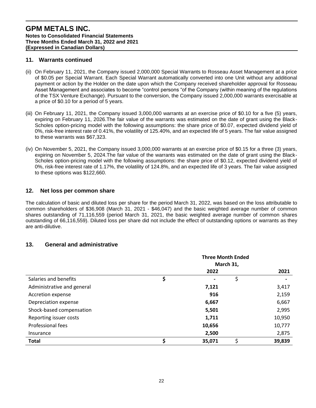# **11. Warrants continued**

- (ii) On February 11, 2021, the Company issued 2,000,000 Special Warrants to Rosseau Asset Management at a price of \$0.05 per Special Warrant. Each Special Warrant automatically converted into one Unit without any additional payment or action by the Holder on the date upon which the Company received shareholder approval for Rosseau Asset Management and associates to become "control persons "of the Company (within meaning of the regulations of the TSX Venture Exchange). Pursuant to the conversion, the Company issued 2,000,000 warrants exercisable at a price of \$0.10 for a period of 5 years.
- (iii) On February 11, 2021, the Company issued 3,000,000 warrants at an exercise price of \$0.10 for a five (5) years, expiring on February 11, 2026.The fair value of the warrants was estimated on the date of grant using the Black-Scholes option-pricing model with the following assumptions: the share price of \$0.07, expected dividend yield of 0%, risk-free interest rate of 0.41%, the volatility of 125.40%, and an expected life of 5 years. The fair value assigned to these warrants was \$67,323.
- (iv) On November 5, 2021, the Company issued 3,000,000 warrants at an exercise price of \$0.15 for a three (3) years, expiring on November 5, 2024.The fair value of the warrants was estimated on the date of grant using the Black-Scholes option-pricing model with the following assumptions: the share price of \$0.12, expected dividend yield of 0%, risk-free interest rate of 1.17%, the volatility of 124.8%, and an expected life of 3 years. The fair value assigned to these options was \$122,660.

# **12. Net loss per common share**

The calculation of basic and diluted loss per share for the period March 31, 2022, was based on the loss attributable to common shareholders of \$36,908 (March 31, 2021 - \$46,047) and the basic weighted average number of common shares outstanding of 71,116,559 (period March 31, 2021, the basic weighted average number of common shares outstanding of 66,116,559). Diluted loss per share did not include the effect of outstanding options or warrants as they are anti-dilutive.

# **13. General and administrative**

|                            | <b>Three Month Ended</b><br>March 31, |                |    |        |
|----------------------------|---------------------------------------|----------------|----|--------|
|                            |                                       | 2022           |    | 2021   |
| Salaries and benefits      | \$                                    | $\blacksquare$ | \$ | -      |
| Administrative and general |                                       | 7,121          |    | 3,417  |
| Accretion expense          |                                       | 916            |    | 2,159  |
| Depreciation expense       |                                       | 6,667          |    | 6,667  |
| Shock-based compensation   |                                       | 5,501          |    | 2,995  |
| Reporting issuer costs     |                                       | 1,711          |    | 10,950 |
| Professional fees          |                                       | 10,656         |    | 10,777 |
| Insurance                  |                                       | 2,500          |    | 2,875  |
| <b>Total</b>               | \$                                    | 35,071         | \$ | 39,839 |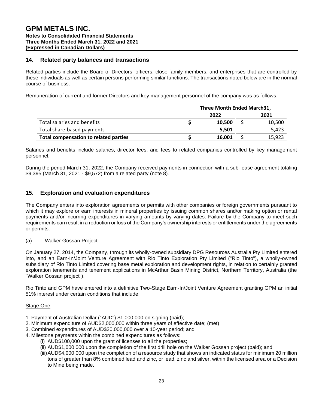#### **14. Related party balances and transactions**

Related parties include the Board of Directors, officers, close family members, and enterprises that are controlled by these individuals as well as certain persons performing similar functions. The transactions noted below are in the normal course of business.

Remuneration of current and former Directors and key management personnel of the company was as follows:

|                                              | Three Month Ended March31, |        |  |        |
|----------------------------------------------|----------------------------|--------|--|--------|
|                                              |                            | 2022   |  | 2021   |
| Total salaries and benefits                  |                            | 10.500 |  | 10,500 |
| Total share-based payments                   |                            | 5.501  |  | 5.423  |
| <b>Total compensation to related parties</b> |                            | 16,001 |  | 15.923 |

Salaries and benefits include salaries, director fees, and fees to related companies controlled by key management personnel.

During the period March 31, 2022, the Company received payments in connection with a sub-lease agreement totaling \$9,395 (March 31, 2021 - \$9,572) from a related party (note 8).

# **15. Exploration and evaluation expenditures**

The Company enters into exploration agreements or permits with other companies or foreign governments pursuant to which it may explore or earn interests in mineral properties by issuing common shares and/or making option or rental payments and/or incurring expenditures in varying amounts by varying dates. Failure by the Company to meet such requirements can result in a reduction or loss of the Company's ownership interests or entitlements under the agreements or permits.

#### (a) Walker Gossan Project

On January 27, 2014, the Company, through its wholly-owned subsidiary DPG Resources Australia Pty Limited entered into, and an Earn-In/Joint Venture Agreement with Rio Tinto Exploration Pty Limited ("Rio Tinto"), a wholly-owned subsidiary of Rio Tinto Limited covering base metal exploration and development rights, in relation to certainly granted exploration tenements and tenement applications in McArthur Basin Mining District, Northern Territory, Australia (the "Walker Gossan project").

Rio Tinto and GPM have entered into a definitive Two-Stage Earn-In/Joint Venture Agreement granting GPM an initial 51% interest under certain conditions that include:

#### Stage One

- 1. Payment of Australian Dollar ("AUD") \$1,000,000 on signing (paid);
- 2. Minimum expenditure of AUD\$2,000,000 within three years of effective date; (met)
- 3. Combined expenditures of AUD\$20,000,000 over a 10-year period; and
- 4. Milestone payments within the combined expenditures as follows:
	- (i) AUD\$100,000 upon the grant of licenses to all the properties;
	- (ii) AUD\$1,000,000 upon the completion of the first drill hole on the Walker Gossan project (paid); and
	- (iii)AUD\$4,000,000 upon the completion of a resource study that shows an indicated status for minimum 20 million tons of greater than 8% combined lead and zinc, or lead, zinc and silver, within the licensed area or a Decision to Mine being made.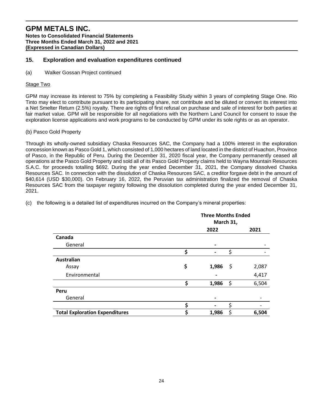# **15. Exploration and evaluation expenditures continued**

(a) Walker Gossan Project continued

#### Stage Two

GPM may increase its interest to 75% by completing a Feasibility Study within 3 years of completing Stage One. Rio Tinto may elect to contribute pursuant to its participating share, not contribute and be diluted or convert its interest into a Net Smelter Return (2.5%) royalty. There are rights of first refusal on purchase and sale of interest for both parties at fair market value. GPM will be responsible for all negotiations with the Northern Land Council for consent to issue the exploration license applications and work programs to be conducted by GPM under its sole rights or as an operator.

#### (b) Pasco Gold Property

Through its wholly-owned subsidiary Chaska Resources SAC, the Company had a 100% interest in the exploration concession known as Pasco Gold 1, which consisted of 1,000 hectares of land located in the district of Huachon, Province of Pasco, in the Republic of Peru. During the December 31, 2020 fiscal year, the Company permanently ceased all operations at the Pasco Gold Property and sold all of its Pasco Gold Property claims held to Wayna Mountain Resources S.A.C. for proceeds totalling \$692. During the year ended December 31, 2021, the Company dissolved Chaska Resources SAC. In connection with the dissolution of Chaska Resources SAC, a creditor forgave debt in the amount of \$40,614 (USD \$30,000). On February 16, 2022, the Peruvian tax administration finalized the removal of Chaska Resources SAC from the taxpayer registry following the dissolution completed during the year ended December 31, 2021.

|                                       |    | <b>Three Months Ended</b><br>March 31, |    |       |
|---------------------------------------|----|----------------------------------------|----|-------|
|                                       |    | 2022                                   |    | 2021  |
| Canada                                |    |                                        |    |       |
| General                               |    |                                        |    |       |
|                                       | Ś  |                                        | \$ |       |
| <b>Australian</b>                     |    |                                        |    |       |
| Assay                                 | \$ | 1,986                                  | \$ | 2,087 |
| Environmental                         |    |                                        |    | 4,417 |
|                                       | \$ | 1,986                                  | \$ | 6,504 |
| Peru                                  |    |                                        |    |       |
| General                               |    |                                        |    |       |
|                                       | \$ |                                        | \$ |       |
| <b>Total Exploration Expenditures</b> |    | 1,986                                  | \$ | 6,504 |

(c) the following is a detailed list of expenditures incurred on the Company's mineral properties: